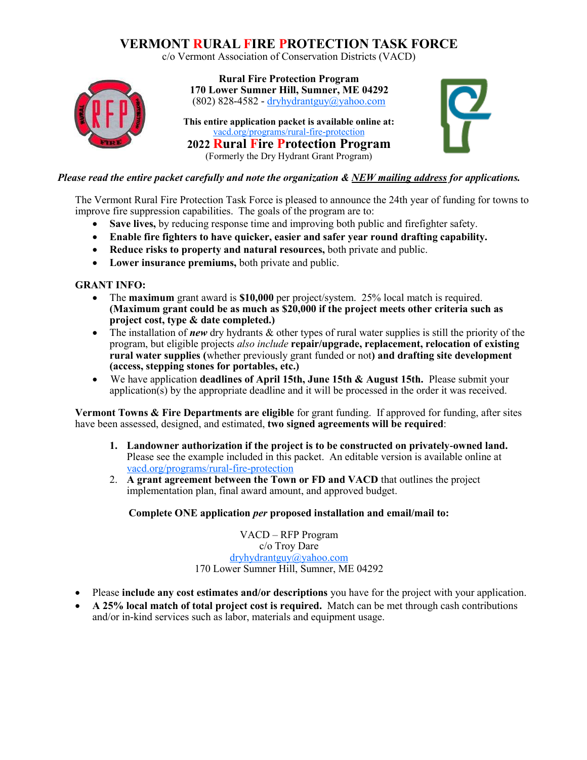## **VERMONT RURAL FIRE PROTECTION TASK FORCE**

c/o Vermont Association of Conservation Districts (VACD)



**Rural Fire Protection Program 170 Lower Sumner Hill, Sumner, ME 04292** (802) 828-4582 - [dryhydrantguy@yahoo.com](mailto:dryhydrantguy@yahoo.com)

**This entire application packet is available online at:**  [vacd.org/programs/rural-fire-protection](https://www.vacd.org/programs/rural-fire-protection/) **2022 Rural Fire Protection Program** (Formerly the Dry Hydrant Grant Program)



### *Please read the entire packet carefully and note the organization & NEW mailing address for applications.*

The Vermont Rural Fire Protection Task Force is pleased to announce the 24th year of funding for towns to improve fire suppression capabilities. The goals of the program are to:

- **Save lives,** by reducing response time and improving both public and firefighter safety.
- **Enable fire fighters to have quicker, easier and safer year round drafting capability.**
- **Reduce risks to property and natural resources,** both private and public.
- **Lower insurance premiums,** both private and public.

### **GRANT INFO:**

- The **maximum** grant award is **\$10,000** per project/system. 25% local match is required. **(Maximum grant could be as much as \$20,000 if the project meets other criteria such as project cost, type & date completed.)**
- The installation of *new* dry hydrants & other types of rural water supplies is still the priority of the program, but eligible projects *also include* **repair/upgrade, replacement, relocation of existing rural water supplies (**whether previously grant funded or not**) and drafting site development (access, stepping stones for portables, etc.)**
- We have application **deadlines of April 15th, June 15th & August 15th.** Please submit your application(s) by the appropriate deadline and it will be processed in the order it was received.

**Vermont Towns & Fire Departments are eligible** for grant funding. If approved for funding, after sites have been assessed, designed, and estimated, **two signed agreements will be required**:

- **1. Landowner authorization if the project is to be constructed on privately-owned land.** Please see the example included in this packet. An editable version is available online at [vacd.org/programs/rural-fire-protection](http://www.vacd.org/programs/rural-fire-protection)
- 2. **A grant agreement between the Town or FD and VACD** that outlines the project implementation plan, final award amount, and approved budget.

### **Complete ONE application** *per* **proposed installation and email/mail to:**

VACD – RFP Program c/o Troy Dare [dryhydrantguy@yahoo.com](mailto:%20dryhydrantguy@yahoo.com) 170 Lower Sumner Hill, Sumner, ME 04292

- Please **include any cost estimates and/or descriptions** you have for the project with your application.
- **A 25% local match of total project cost is required.** Match can be met through cash contributions and/or in-kind services such as labor, materials and equipment usage.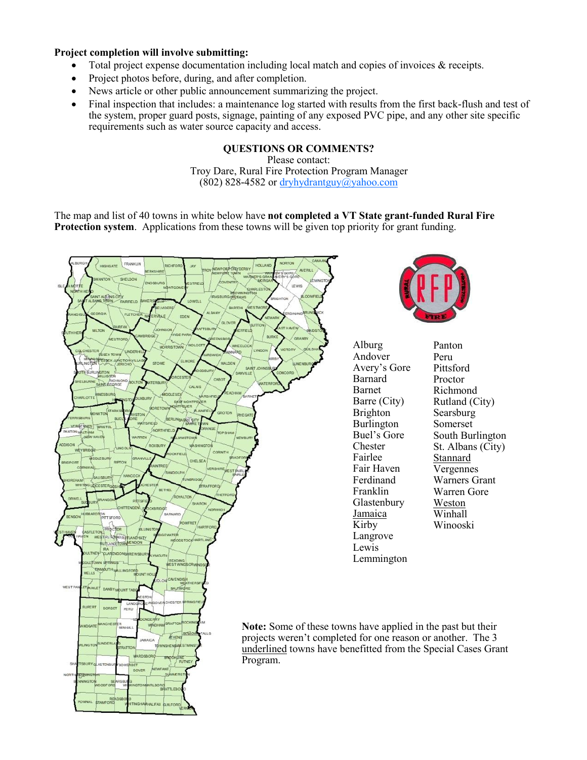### **Project completion will involve submitting:**

- Total project expense documentation including local match and copies of invoices & receipts.
- Project photos before, during, and after completion.
- News article or other public announcement summarizing the project.
- Final inspection that includes: a maintenance log started with results from the first back-flush and test of the system, proper guard posts, signage, painting of any exposed PVC pipe, and any other site specific requirements such as water source capacity and access.

### **QUESTIONS OR COMMENTS?**

Please contact: Troy Dare, Rural Fire Protection Program Manager (802) 828-4582 or [dryhydrantguy@yahoo.com](mailto:dryhydrantguy@yahoo.com)

The map and list of 40 towns in white below have **not completed a VT State grant-funded Rural Fire Protection system**. Applications from these towns will be given top priority for grant funding.





Alburg Andover Avery's Gore Barnard Barnet Barre (City) Brighton Burlington Buel's Gore Chester Fairlee Fair Haven Ferdinand Franklin Glastenbury Jamaica Kirby Langrove Lewis Lemmington

Panton Peru Pittsford Proctor Richmond Rutland (City) Searsburg Somerset South Burlington St. Albans (City) Stannard Vergennes Warners Grant Warren Gore Weston Winhall Winooski

**Note:** Some of these towns have applied in the past but their projects weren't completed for one reason or another. The 3 underlined towns have benefitted from the Special Cases Grant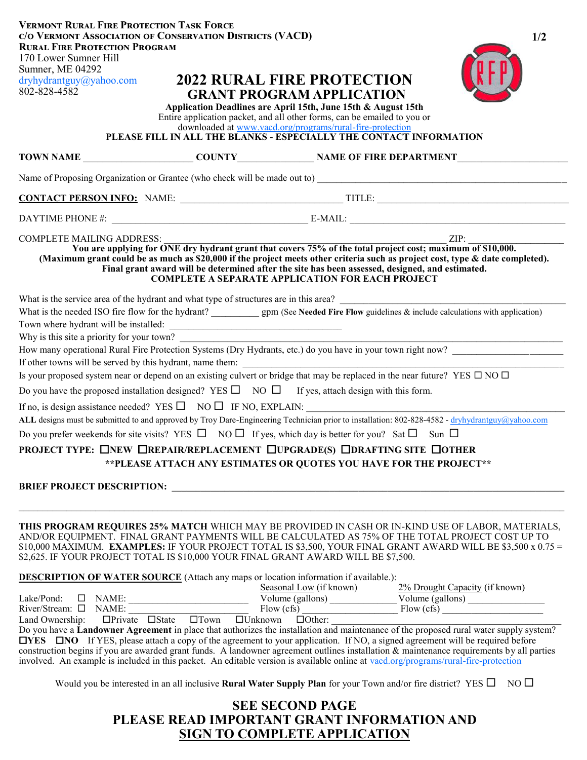| <b>VERMONT RURAL FIRE PROTECTION TASK FORCE</b><br>C/O VERMONT ASSOCIATION OF CONSERVATION DISTRICTS (VACD)<br>1/2<br><b>RURAL FIRE PROTECTION PROGRAM</b><br>170 Lower Sumner Hill<br>Sumner, ME 04292<br><b>2022 RURAL FIRE PROTECTION</b><br>dryhydrantguy@yahoo.com<br>802-828-4582<br><b>GRANT PROGRAM APPLICATION</b><br>Application Deadlines are April 15th, June 15th & August 15th<br>Entire application packet, and all other forms, can be emailed to you or<br>downloaded at www.vacd.org/programs/rural-fire-protection<br>PLEASE FILL IN ALL THE BLANKS - ESPECIALLY THE CONTACT INFORMATION                                                                                                                                                                                                                                                                                                                                                 |  |                                                                                                                                     |  |  |  |
|-------------------------------------------------------------------------------------------------------------------------------------------------------------------------------------------------------------------------------------------------------------------------------------------------------------------------------------------------------------------------------------------------------------------------------------------------------------------------------------------------------------------------------------------------------------------------------------------------------------------------------------------------------------------------------------------------------------------------------------------------------------------------------------------------------------------------------------------------------------------------------------------------------------------------------------------------------------|--|-------------------------------------------------------------------------------------------------------------------------------------|--|--|--|
|                                                                                                                                                                                                                                                                                                                                                                                                                                                                                                                                                                                                                                                                                                                                                                                                                                                                                                                                                             |  |                                                                                                                                     |  |  |  |
|                                                                                                                                                                                                                                                                                                                                                                                                                                                                                                                                                                                                                                                                                                                                                                                                                                                                                                                                                             |  |                                                                                                                                     |  |  |  |
|                                                                                                                                                                                                                                                                                                                                                                                                                                                                                                                                                                                                                                                                                                                                                                                                                                                                                                                                                             |  |                                                                                                                                     |  |  |  |
|                                                                                                                                                                                                                                                                                                                                                                                                                                                                                                                                                                                                                                                                                                                                                                                                                                                                                                                                                             |  |                                                                                                                                     |  |  |  |
| ZIP:<br><b>COMPLETE MAILING ADDRESS:</b><br>You are applying for ONE dry hydrant grant that covers 75% of the total project cost; maximum of \$10,000.<br>(Maximum grant could be as much as \$20,000 if the project meets other criteria such as project cost, type & date completed).<br>Final grant award will be determined after the site has been assessed, designed, and estimated.<br><b>COMPLETE A SEPARATE APPLICATION FOR EACH PROJECT</b>                                                                                                                                                                                                                                                                                                                                                                                                                                                                                                       |  |                                                                                                                                     |  |  |  |
| What is the service area of the hydrant and what type of structures are in this area?<br>Why is this site a priority for your town?<br>How many operational Rural Fire Protection Systems (Dry Hydrants, etc.) do you have in your town right now?<br>Is your proposed system near or depend on an existing culvert or bridge that may be replaced in the near future? YES $\Box$ NO $\Box$<br>Do you have the proposed installation designed? YES $\square$ NO $\square$ If yes, attach design with this form.<br>If no, is design assistance needed? YES $\square$ NO $\square$ IF NO, EXPLAIN:<br>ALL designs must be submitted to and approved by Troy Dare-Engineering Technician prior to installation: 802-828-4582 - dryhydrantguy@yahoo.com<br>Do you prefer weekends for site visits? YES $\Box$ NO $\Box$ If yes, which day is better for you? Sat $\Box$ Sun $\Box$<br>PROJECT TYPE: ONEW OREPAIR/REPLACEMENT OUPGRADE(S) ODRAFTING SITE OOTHER |  | ** PLEASE ATTACH ANY ESTIMATES OR QUOTES YOU HAVE FOR THE PROJECT**                                                                 |  |  |  |
| THIS PROGRAM REQUIRES 25% MATCH WHICH MAY BE PROVIDED IN CASH OR IN-KIND USE OF LABOR, MATERIALS,<br>AND/OR EQUIPMENT. FINAL GRANT PAYMENTS WILL BE CALCULATED AS 75% OF THE TOTAL PROJECT COST UP TO<br>\$10,000 MAXIMUM. EXAMPLES: IF YOUR PROJECT TOTAL IS \$3,500, YOUR FINAL GRANT AWARD WILL BE \$3,500 x 0.75 =<br>\$2,625. IF YOUR PROJECT TOTAL IS \$10,000 YOUR FINAL GRANT AWARD WILL BE \$7,500.<br><b>DESCRIPTION OF WATER SOURCE</b> (Attach any maps or location information if available.):<br>$\Box$ YES $\Box$ NO If YES, please attach a copy of the agreement to your application. If NO, a signed agreement will be required before<br>construction begins if you are awarded grant funds. A landowner agreement outlines installation & maintenance requirements by all parties<br>involved. An example is included in this packet. An editable version is available online at vacd.org/programs/rural-fire-protection                |  | Would you be interested in an all inclusive <b>Rural Water Supply Plan</b> for your Town and/or fire district? YES $\Box$ NO $\Box$ |  |  |  |

## **SEE SECOND PAGE PLEASE READ IMPORTANT GRANT INFORMATION AND SIGN TO COMPLETE APPLICATION**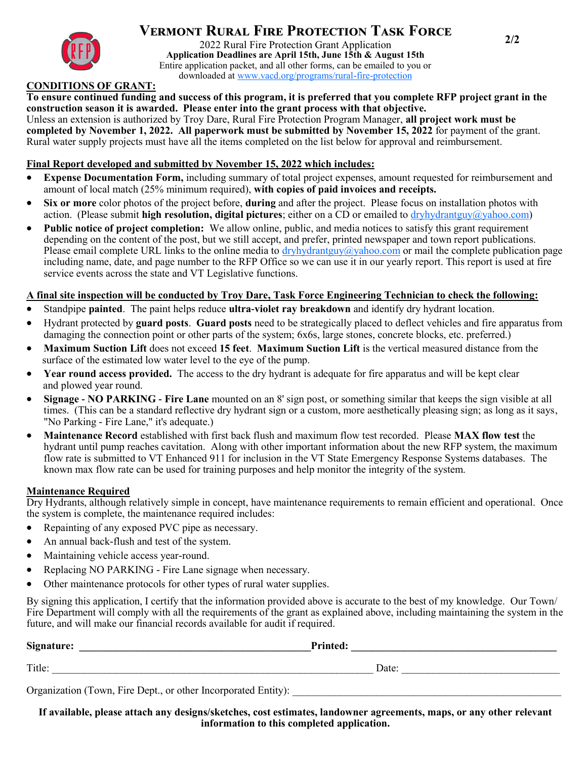

# **2/2 Vermont Rural Fire Protection Task Force**

2022 Rural Fire Protection Grant Application **Application Deadlines are April 15th, June 15th & August 15th** Entire application packet, and all other forms, can be emailed to you or downloaded at www.v[acd.org/programs/rural-fire-protection](https://www.vacd.org/programs/rural-fire-protection/)

### **CONDITIONS OF GRANT:**

**To ensure continued funding and success of this program, it is preferred that you complete RFP project grant in the construction season it is awarded. Please enter into the grant process with that objective.** Unless an extension is authorized by Troy Dare, Rural Fire Protection Program Manager, **all project work must be completed by November 1, 2022. All paperwork must be submitted by November 15, 2022** for payment of the grant. Rural water supply projects must have all the items completed on the list below for approval and reimbursement.

### **Final Report developed and submitted by November 15, 2022 which includes:**

- **Expense Documentation Form,** including summary of total project expenses, amount requested for reimbursement and amount of local match (25% minimum required), **with copies of paid invoices and receipts.**
- **Six or more** color photos of the project before, **during** and after the project. Please focus on installation photos with action. (Please submit **high resolution, digital pictures**; either on a CD or emailed to [dryhydrantguy@yahoo.com\)](mailto:dryhydrantguy@yahoo.com)
- **Public notice of project completion:** We allow online, public, and media notices to satisfy this grant requirement depending on the content of the post, but we still accept, and prefer, printed newspaper and town report publications. Please email complete URL links to the online media to [dryhydrantguy@yahoo.com](mailto:dryhydrantguy@yahoo.com) or mail the complete publication page including name, date, and page number to the RFP Office so we can use it in our yearly report. This report is used at fire service events across the state and VT Legislative functions.

### **A final site inspection will be conducted by Troy Dare, Task Force Engineering Technician to check the following:**

- Standpipe **painted**. The paint helps reduce **ultra-violet ray breakdown** and identify dry hydrant location.
- Hydrant protected by **guard posts**. **Guard posts** need to be strategically placed to deflect vehicles and fire apparatus from damaging the connection point or other parts of the system; 6x6s, large stones, concrete blocks, etc. preferred.)
- **Maximum Suction Lift** does not exceed **15 feet**. **Maximum Suction Lift** is the vertical measured distance from the surface of the estimated low water level to the eye of the pump.
- **Year round access provided.** The access to the dry hydrant is adequate for fire apparatus and will be kept clear and plowed year round.
- **Signage - NO PARKING - Fire Lane** mounted on an 8' sign post, or something similar that keeps the sign visible at all times. (This can be a standard reflective dry hydrant sign or a custom, more aesthetically pleasing sign; as long as it says, "No Parking - Fire Lane," it's adequate.)
- **Maintenance Record** established with first back flush and maximum flow test recorded. Please **MAX flow test** the hydrant until pump reaches cavitation. Along with other important information about the new RFP system, the maximum flow rate is submitted to VT Enhanced 911 for inclusion in the VT State Emergency Response Systems databases. The known max flow rate can be used for training purposes and help monitor the integrity of the system.

### **Maintenance Required**

Dry Hydrants, although relatively simple in concept, have maintenance requirements to remain efficient and operational. Once the system is complete, the maintenance required includes:

- Repainting of any exposed PVC pipe as necessary.
- An annual back-flush and test of the system.
- Maintaining vehicle access year-round.
- Replacing NO PARKING Fire Lane signage when necessary.
- Other maintenance protocols for other types of rural water supplies.

By signing this application, I certify that the information provided above is accurate to the best of my knowledge. Our Town/ Fire Department will comply with all the requirements of the grant as explained above, including maintaining the system in the future, and will make our financial records available for audit if required.

| Signature:                                                     | <b>Printed:</b> |
|----------------------------------------------------------------|-----------------|
| Title:                                                         | Date:           |
| Organization (Town, Fire Dept., or other Incorporated Entity): |                 |

**If available, please attach any designs/sketches, cost estimates, landowner agreements, maps, or any other relevant information to this completed application.**